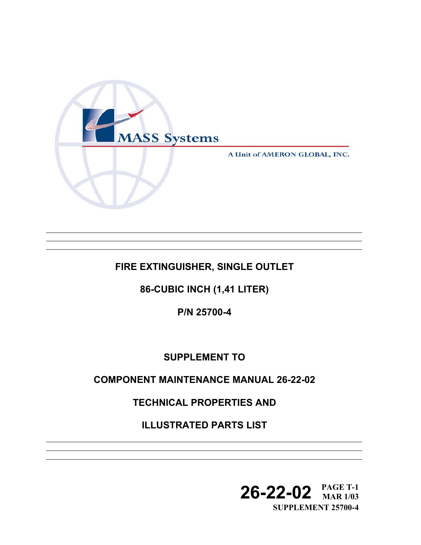

**FIRE EXTINGUISHER, SINGLE OUTLET** 

**86-CUBIC INCH (1,41 LITER)** 

**P/N 25700-4** 

**SUPPLEMENT TO** 

**COMPONENT MAINTENANCE MANUAL 26-22-02** 

**TECHNICAL PROPERTIES AND** 

**ILLUSTRATED PARTS LIST** 

**26-22-02 PAGE T-1 MAR 1/03 SUPPLEMENT 25700-4**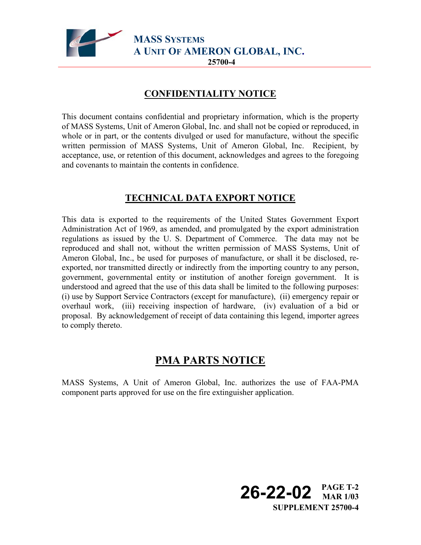

#### **CONFIDENTIALITY NOTICE**

This document contains confidential and proprietary information, which is the property of MASS Systems, Unit of Ameron Global, Inc. and shall not be copied or reproduced, in whole or in part, or the contents divulged or used for manufacture, without the specific written permission of MASS Systems, Unit of Ameron Global, Inc. Recipient, by acceptance, use, or retention of this document, acknowledges and agrees to the foregoing and covenants to maintain the contents in confidence.

#### **TECHNICAL DATA EXPORT NOTICE**

This data is exported to the requirements of the United States Government Export Administration Act of 1969, as amended, and promulgated by the export administration regulations as issued by the U. S. Department of Commerce. The data may not be reproduced and shall not, without the written permission of MASS Systems, Unit of Ameron Global, Inc., be used for purposes of manufacture, or shall it be disclosed, reexported, nor transmitted directly or indirectly from the importing country to any person, government, governmental entity or institution of another foreign government. It is understood and agreed that the use of this data shall be limited to the following purposes: (i) use by Support Service Contractors (except for manufacture), (ii) emergency repair or overhaul work, (iii) receiving inspection of hardware, (iv) evaluation of a bid or proposal. By acknowledgement of receipt of data containing this legend, importer agrees to comply thereto.

### **PMA PARTS NOTICE**

MASS Systems, A Unit of Ameron Global, Inc. authorizes the use of FAA-PMA component parts approved for use on the fire extinguisher application.

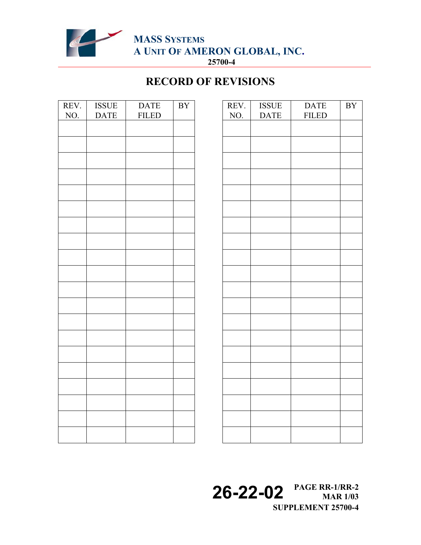

### **RECORD OF REVISIONS**

| REV. | <b>ISSUE</b> | <b>DATE</b>  | $\overline{BY}$ |
|------|--------------|--------------|-----------------|
| NO.  | <b>DATE</b>  | <b>FILED</b> |                 |
|      |              |              |                 |
|      |              |              |                 |
|      |              |              |                 |
|      |              |              |                 |
|      |              |              |                 |
|      |              |              |                 |
|      |              |              |                 |
|      |              |              |                 |
|      |              |              |                 |
|      |              |              |                 |
|      |              |              |                 |
|      |              |              |                 |
|      |              |              |                 |
|      |              |              |                 |
|      |              |              |                 |
|      |              |              |                 |
|      |              |              |                 |
|      |              |              |                 |
|      |              |              |                 |
|      |              |              |                 |
|      |              |              |                 |
|      |              |              |                 |
|      |              |              |                 |
|      |              |              |                 |
|      |              |              |                 |
|      |              |              |                 |
|      |              |              |                 |
|      |              |              |                 |

| $\overline{\text{BY}}$ | REV. | <b>ISSUE</b> | <b>DATE</b>  | $\overline{\rm BY}$ |
|------------------------|------|--------------|--------------|---------------------|
|                        | NO.  | <b>DATE</b>  | <b>FILED</b> |                     |
|                        |      |              |              |                     |
|                        |      |              |              |                     |
|                        |      |              |              |                     |
|                        |      |              |              |                     |
|                        |      |              |              |                     |
|                        |      |              |              |                     |
|                        |      |              |              |                     |
|                        |      |              |              |                     |
|                        |      |              |              |                     |
|                        |      |              |              |                     |
|                        |      |              |              |                     |
|                        |      |              |              |                     |
|                        |      |              |              |                     |
|                        |      |              |              |                     |
|                        |      |              |              |                     |
|                        |      |              |              |                     |
|                        |      |              |              |                     |
|                        |      |              |              |                     |
|                        |      |              |              |                     |
|                        |      |              |              |                     |
|                        |      |              |              |                     |
|                        |      |              |              |                     |
|                        |      |              |              |                     |
|                        |      |              |              |                     |
|                        |      |              |              |                     |
|                        |      |              |              |                     |
|                        |      |              |              |                     |
|                        |      |              |              |                     |
|                        |      |              |              |                     |
|                        |      |              |              |                     |
|                        |      |              |              |                     |
|                        |      |              |              |                     |
|                        |      |              |              |                     |
|                        |      |              |              |                     |
|                        |      |              |              |                     |
|                        |      |              |              |                     |
|                        |      |              |              |                     |
|                        |      |              |              |                     |
|                        |      |              |              |                     |
|                        |      |              |              |                     |
|                        |      |              |              |                     |
|                        |      |              |              |                     |
|                        |      |              |              |                     |

**26-22-02 PAGE RR-1/RR-2 MAR 1/03 SUPPLEMENT 25700-4**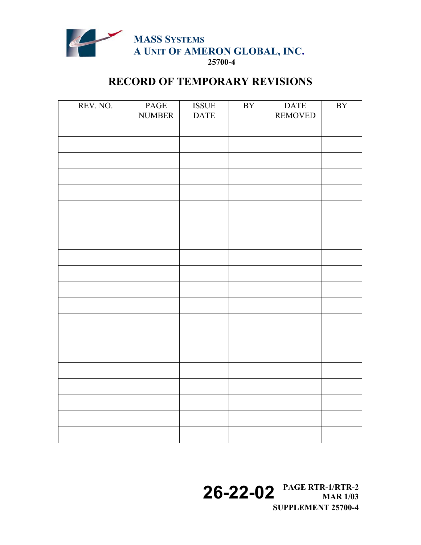

#### **RECORD OF TEMPORARY REVISIONS**

| REV. NO. | $\overline{\mathsf{PAGE}}$<br><b>NUMBER</b> | <b>ISSUE</b><br><b>DATE</b> | $\rm BY$ | <b>DATE</b><br><b>REMOVED</b> | $\rm BY$ |
|----------|---------------------------------------------|-----------------------------|----------|-------------------------------|----------|
|          |                                             |                             |          |                               |          |
|          |                                             |                             |          |                               |          |
|          |                                             |                             |          |                               |          |
|          |                                             |                             |          |                               |          |
|          |                                             |                             |          |                               |          |
|          |                                             |                             |          |                               |          |
|          |                                             |                             |          |                               |          |
|          |                                             |                             |          |                               |          |
|          |                                             |                             |          |                               |          |
|          |                                             |                             |          |                               |          |
|          |                                             |                             |          |                               |          |
|          |                                             |                             |          |                               |          |
|          |                                             |                             |          |                               |          |
|          |                                             |                             |          |                               |          |
|          |                                             |                             |          |                               |          |
|          |                                             |                             |          |                               |          |
|          |                                             |                             |          |                               |          |
|          |                                             |                             |          |                               |          |
|          |                                             |                             |          |                               |          |
|          |                                             |                             |          |                               |          |

**26-22-02 PAGE RTR-1/RTR-2 MAR 1/03 SUPPLEMENT 25700-4**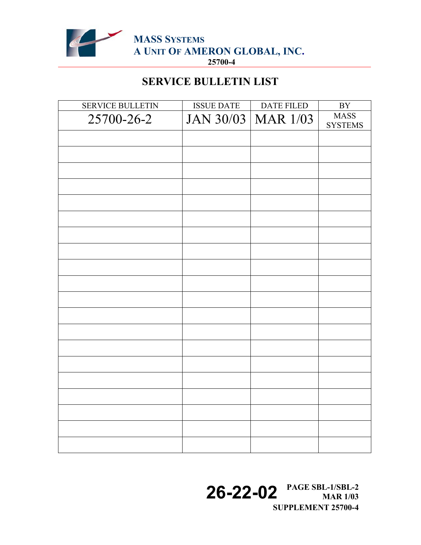

# **SERVICE BULLETIN LIST**

| <b>SERVICE BULLETIN</b> | <b>ISSUE DATE</b> | <b>DATE FILED</b> | $\rm BY$                      |
|-------------------------|-------------------|-------------------|-------------------------------|
| 25700-26-2              | JAN 30/03         | <b>MAR 1/03</b>   | <b>MASS</b><br><b>SYSTEMS</b> |
|                         |                   |                   |                               |
|                         |                   |                   |                               |
|                         |                   |                   |                               |
|                         |                   |                   |                               |
|                         |                   |                   |                               |
|                         |                   |                   |                               |
|                         |                   |                   |                               |
|                         |                   |                   |                               |
|                         |                   |                   |                               |
|                         |                   |                   |                               |
|                         |                   |                   |                               |
|                         |                   |                   |                               |
|                         |                   |                   |                               |
|                         |                   |                   |                               |
|                         |                   |                   |                               |
|                         |                   |                   |                               |
|                         |                   |                   |                               |
|                         |                   |                   |                               |
|                         |                   |                   |                               |
|                         |                   |                   |                               |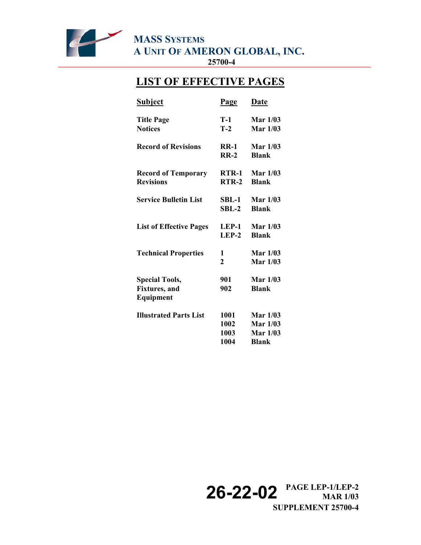

**MASS SYSTEMS A UNIT OF AMERON GLOBAL, INC.**

**25700-4**

# **LIST OF EFFECTIVE PAGES**

| <b>Subject</b>                                              | Page                         | Date                                                                  |
|-------------------------------------------------------------|------------------------------|-----------------------------------------------------------------------|
| <b>Title Page</b><br><b>Notices</b>                         | <b>T-1</b><br>$T-2$          | <b>Mar 1/03</b><br><b>Mar 1/03</b>                                    |
| <b>Record of Revisions</b>                                  | <b>RR-1</b><br>$RR-2$        | <b>Mar 1/03</b><br><b>Blank</b>                                       |
| <b>Record of Temporary</b><br><b>Revisions</b>              | RTR-1<br>$RTR-2$             | <b>Mar 1/03</b><br><b>Blank</b>                                       |
| <b>Service Bulletin List</b>                                | SBL-1<br>$SBL-2$             | <b>Mar 1/03</b><br><b>Blank</b>                                       |
| <b>List of Effective Pages</b>                              | LEP-1<br>$LEP-2$             | <b>Mar 1/03</b><br><b>Blank</b>                                       |
| <b>Technical Properties</b>                                 | 1<br>$\mathbf{2}$            | <b>Mar 1/03</b><br><b>Mar 1/03</b>                                    |
| <b>Special Tools,</b><br><b>Fixtures</b> , and<br>Equipment | 901<br>902                   | <b>Mar 1/03</b><br><b>Blank</b>                                       |
| <b>Illustrated Parts List</b>                               | 1001<br>1002<br>1003<br>1004 | <b>Mar 1/03</b><br><b>Mar 1/03</b><br><b>Mar 1/03</b><br><b>Blank</b> |

**26-22-02 PAGE LEP-1/LEP-2 MAR 1/03 SUPPLEMENT 25700-4**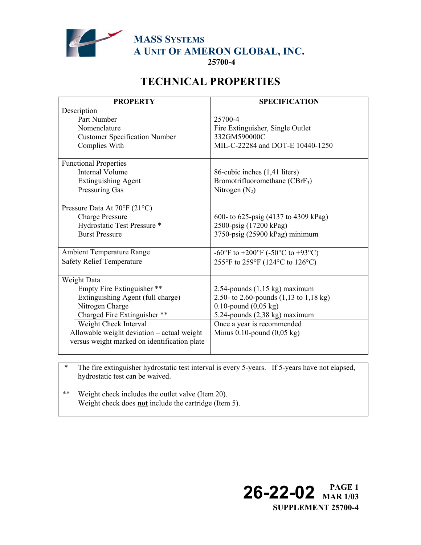

### **TECHNICAL PROPERTIES**

| <b>PROPERTY</b>                                                                                                                                                                                                                                          | <b>SPECIFICATION</b>                                                                                                                                                                                                                                |
|----------------------------------------------------------------------------------------------------------------------------------------------------------------------------------------------------------------------------------------------------------|-----------------------------------------------------------------------------------------------------------------------------------------------------------------------------------------------------------------------------------------------------|
| Description<br>Part Number<br>Nomenclature<br><b>Customer Specification Number</b>                                                                                                                                                                       | 25700-4<br>Fire Extinguisher, Single Outlet<br>332GM590000C                                                                                                                                                                                         |
| Complies With                                                                                                                                                                                                                                            | MIL-C-22284 and DOT-E 10440-1250                                                                                                                                                                                                                    |
| <b>Functional Properties</b><br><b>Internal Volume</b><br><b>Extinguishing Agent</b><br>Pressuring Gas                                                                                                                                                   | 86-cubic inches (1,41 liters)<br>Bromotrifluoromethane (CBrF <sub>3</sub> )<br>Nitrogen $(N_2)$                                                                                                                                                     |
| Pressure Data At 70°F (21°C)<br><b>Charge Pressure</b><br>Hydrostatic Test Pressure *<br><b>Burst Pressure</b>                                                                                                                                           | 600- to 625-psig (4137 to 4309 kPag)<br>2500-psig (17200 kPag)<br>3750-psig (25900 kPag) minimum                                                                                                                                                    |
| <b>Ambient Temperature Range</b><br><b>Safety Relief Temperature</b>                                                                                                                                                                                     | -60°F to +200°F (-50°C to +93°C)<br>255°F to 259°F (124°C to 126°C)                                                                                                                                                                                 |
| Weight Data<br>Empty Fire Extinguisher **<br>Extinguishing Agent (full charge)<br>Nitrogen Charge<br>Charged Fire Extinguisher **<br>Weight Check Interval<br>Allowable weight deviation - actual weight<br>versus weight marked on identification plate | 2.54-pounds $(1,15 \text{ kg})$ maximum<br>2.50- to 2.60-pounds $(1,13 \text{ to } 1,18 \text{ kg})$<br>$0.10$ -pound $(0.05 \text{ kg})$<br>5.24-pounds (2,38 kg) maximum<br>Once a year is recommended<br>Minus $0.10$ -pound $(0.05 \text{ kg})$ |

\* The fire extinguisher hydrostatic test interval is every 5-years. If 5-years have not elapsed, hydrostatic test can be waived.

\*\* Weight check includes the outlet valve (Item 20). Weight check does **not** include the cartridge (Item 5).

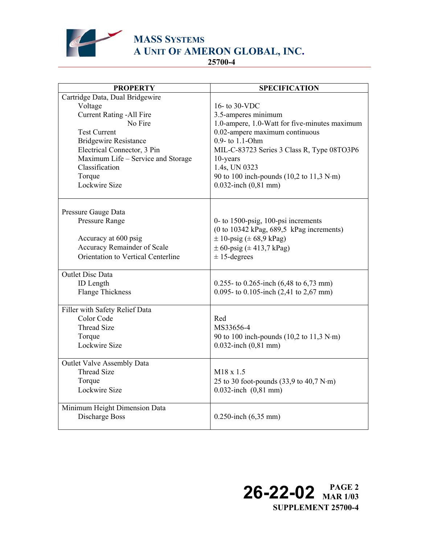

# MASS SYSTEMS **A UNIT OF AMERON GLOBAL, INC.**

| 25700- |
|--------|
|--------|

| <b>PROPERTY</b>                    | <b>SPECIFICATION</b>                                                   |
|------------------------------------|------------------------------------------------------------------------|
| Cartridge Data, Dual Bridgewire    |                                                                        |
| Voltage                            | 16- to 30-VDC                                                          |
| <b>Current Rating -All Fire</b>    | 3.5-amperes minimum                                                    |
| No Fire                            | 1.0-ampere, 1.0-Watt for five-minutes maximum                          |
| <b>Test Current</b>                | 0.02-ampere maximum continuous                                         |
| <b>Bridgewire Resistance</b>       | 0.9- to 1.1-Ohm                                                        |
| Electrical Connector, 3 Pin        | MIL-C-83723 Series 3 Class R, Type 08TO3P6                             |
| Maximum Life - Service and Storage | 10-years                                                               |
| Classification                     | 1.4s, UN 0323                                                          |
| Torque                             | 90 to 100 inch-pounds (10,2 to 11,3 N·m)                               |
| Lockwire Size                      | $0.032$ -inch $(0.81$ mm)                                              |
|                                    |                                                                        |
| Pressure Gauge Data                |                                                                        |
| Pressure Range                     | 0- to 1500-psig, 100-psi increments                                    |
|                                    | $(0 to 10342 kPag, 689, 5 kPag increments)$                            |
| Accuracy at 600 psig               | $\pm$ 10-psig ( $\pm$ 68,9 kPag)                                       |
| Accuracy Remainder of Scale        | $\pm 60$ -psig ( $\pm 413,7$ kPag)                                     |
| Orientation to Vertical Centerline | $± 15-degrees$                                                         |
| <b>Outlet Disc Data</b>            |                                                                        |
| ID Length                          | 0.255- to 0.265-inch $(6,48 \text{ to } 6,73 \text{ mm})$              |
| <b>Flange Thickness</b>            | 0.095- to 0.105-inch $(2,41)$ to 2,67 mm)                              |
| Filler with Safety Relief Data     |                                                                        |
| Color Code                         | Red                                                                    |
| <b>Thread Size</b>                 | MS33656-4                                                              |
| Torque                             | 90 to 100 inch-pounds $(10,2 \text{ to } 11,3 \text{ N}\cdot\text{m})$ |
| Lockwire Size                      | $0.032$ -inch $(0.81$ mm)                                              |
| <b>Outlet Valve Assembly Data</b>  |                                                                        |
| <b>Thread Size</b>                 | M18 x 1.5                                                              |
| Torque                             | 25 to 30 foot-pounds (33,9 to 40,7 N·m)                                |
| Lockwire Size                      | $0.032$ -inch $(0, 81$ mm)                                             |
| Minimum Height Dimension Data      |                                                                        |
| Discharge Boss                     | $0.250$ -inch $(6,35$ mm)                                              |
|                                    |                                                                        |

**26-22-02 PAGE 2 MAR 1/03 SUPPLEMENT 25700-4**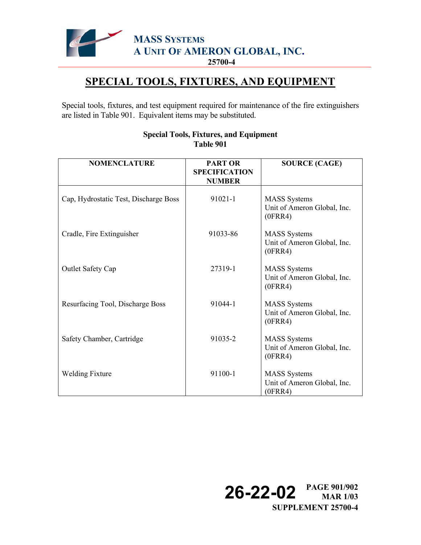

### **SPECIAL TOOLS, FIXTURES, AND EQUIPMENT**

Special tools, fixtures, and test equipment required for maintenance of the fire extinguishers are listed in Table 901. Equivalent items may be substituted.

| <b>NOMENCLATURE</b>                   | <b>PART OR</b>                        | <b>SOURCE (CAGE)</b>                                                |
|---------------------------------------|---------------------------------------|---------------------------------------------------------------------|
|                                       | <b>SPECIFICATION</b><br><b>NUMBER</b> |                                                                     |
| Cap, Hydrostatic Test, Discharge Boss | 91021-1                               | <b>MASS</b> Systems<br>Unit of Ameron Global, Inc.<br>(OFRR4)       |
| Cradle, Fire Extinguisher             | 91033-86                              | <b>MASS</b> Systems<br>Unit of Ameron Global, Inc.<br>$(0$ FRR4 $)$ |
| <b>Outlet Safety Cap</b>              | 27319-1                               | <b>MASS</b> Systems<br>Unit of Ameron Global, Inc.<br>$(0$ FRR4 $)$ |
| Resurfacing Tool, Discharge Boss      | 91044-1                               | <b>MASS</b> Systems<br>Unit of Ameron Global, Inc.<br>$(0$ FRR4 $)$ |
| Safety Chamber, Cartridge             | 91035-2                               | <b>MASS</b> Systems<br>Unit of Ameron Global, Inc.<br>$(0$ FRR4 $)$ |
| <b>Welding Fixture</b>                | 91100-1                               | <b>MASS</b> Systems<br>Unit of Ameron Global, Inc.<br>$(0$ FRR4 $)$ |

#### **Special Tools, Fixtures, and Equipment Table 901**

**26-22-02 PAGE 901/902 MAR 1/03 SUPPLEMENT 25700-4**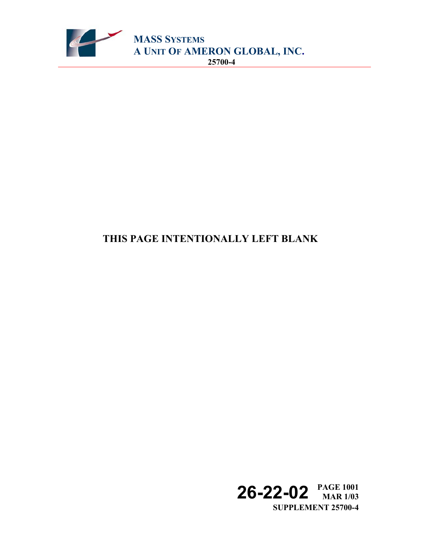

# **THIS PAGE INTENTIONALLY LEFT BLANK**

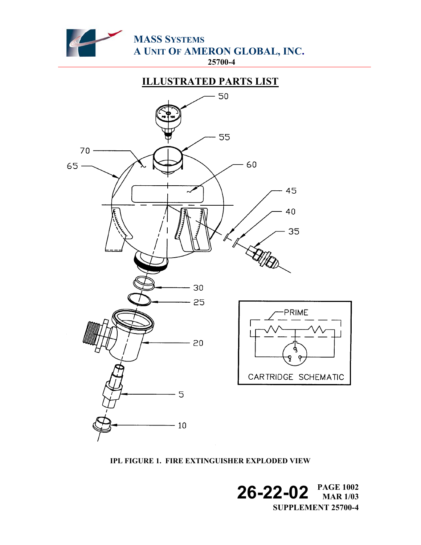

**ILLUSTRATED PARTS LIST**



#### **IPL FIGURE 1. FIRE EXTINGUISHER EXPLODED VIEW**

**26-22-02 PAGE 1002 MAR 1/03 SUPPLEMENT 25700-4**